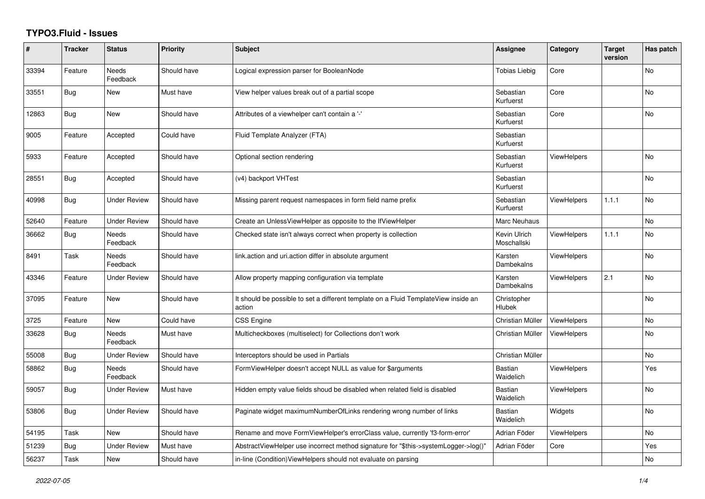## **TYPO3.Fluid - Issues**

| #     | <b>Tracker</b> | <b>Status</b>            | Priority    | <b>Subject</b>                                                                                | <b>Assignee</b>             | Category           | <b>Target</b><br>version | Has patch |
|-------|----------------|--------------------------|-------------|-----------------------------------------------------------------------------------------------|-----------------------------|--------------------|--------------------------|-----------|
| 33394 | Feature        | Needs<br>Feedback        | Should have | Logical expression parser for BooleanNode                                                     | <b>Tobias Liebig</b>        | Core               |                          | No        |
| 33551 | Bug            | <b>New</b>               | Must have   | View helper values break out of a partial scope                                               | Sebastian<br>Kurfuerst      | Core               |                          | <b>No</b> |
| 12863 | <b>Bug</b>     | <b>New</b>               | Should have | Attributes of a viewhelper can't contain a '-'                                                | Sebastian<br>Kurfuerst      | Core               |                          | <b>No</b> |
| 9005  | Feature        | Accepted                 | Could have  | Fluid Template Analyzer (FTA)                                                                 | Sebastian<br>Kurfuerst      |                    |                          |           |
| 5933  | Feature        | Accepted                 | Should have | Optional section rendering                                                                    | Sebastian<br>Kurfuerst      | <b>ViewHelpers</b> |                          | <b>No</b> |
| 28551 | Bug            | Accepted                 | Should have | (v4) backport VHTest                                                                          | Sebastian<br>Kurfuerst      |                    |                          | <b>No</b> |
| 40998 | <b>Bug</b>     | <b>Under Review</b>      | Should have | Missing parent request namespaces in form field name prefix                                   | Sebastian<br>Kurfuerst      | ViewHelpers        | 1.1.1                    | <b>No</b> |
| 52640 | Feature        | <b>Under Review</b>      | Should have | Create an UnlessViewHelper as opposite to the IfViewHelper                                    | Marc Neuhaus                |                    |                          | No        |
| 36662 | Bug            | <b>Needs</b><br>Feedback | Should have | Checked state isn't always correct when property is collection                                | Kevin Ulrich<br>Moschallski | <b>ViewHelpers</b> | 1.1.1                    | <b>No</b> |
| 8491  | Task           | Needs<br>Feedback        | Should have | link.action and uri.action differ in absolute argument                                        | Karsten<br>Dambekalns       | <b>ViewHelpers</b> |                          | No        |
| 43346 | Feature        | <b>Under Review</b>      | Should have | Allow property mapping configuration via template                                             | Karsten<br>Dambekalns       | <b>ViewHelpers</b> | 2.1                      | No        |
| 37095 | Feature        | <b>New</b>               | Should have | It should be possible to set a different template on a Fluid TemplateView inside an<br>action | Christopher<br>Hlubek       |                    |                          | <b>No</b> |
| 3725  | Feature        | New                      | Could have  | <b>CSS Engine</b>                                                                             | Christian Müller            | ViewHelpers        |                          | <b>No</b> |
| 33628 | <b>Bug</b>     | Needs<br>Feedback        | Must have   | Multicheckboxes (multiselect) for Collections don't work                                      | Christian Müller            | <b>ViewHelpers</b> |                          | No        |
| 55008 | Bug            | <b>Under Review</b>      | Should have | Interceptors should be used in Partials                                                       | Christian Müller            |                    |                          | <b>No</b> |
| 58862 | <b>Bug</b>     | Needs<br>Feedback        | Should have | FormViewHelper doesn't accept NULL as value for \$arguments                                   | <b>Bastian</b><br>Waidelich | <b>ViewHelpers</b> |                          | Yes       |
| 59057 | Bug            | <b>Under Review</b>      | Must have   | Hidden empty value fields shoud be disabled when related field is disabled                    | <b>Bastian</b><br>Waidelich | <b>ViewHelpers</b> |                          | No        |
| 53806 | Bug            | <b>Under Review</b>      | Should have | Paginate widget maximumNumberOfLinks rendering wrong number of links                          | <b>Bastian</b><br>Waidelich | Widgets            |                          | <b>No</b> |
| 54195 | Task           | New                      | Should have | Rename and move FormViewHelper's errorClass value, currently 'f3-form-error'                  | Adrian Föder                | ViewHelpers        |                          | <b>No</b> |
| 51239 | <b>Bug</b>     | <b>Under Review</b>      | Must have   | AbstractViewHelper use incorrect method signature for "\$this->systemLogger->log()"           | Adrian Föder                | Core               |                          | Yes       |
| 56237 | Task           | New                      | Should have | in-line (Condition) View Helpers should not evaluate on parsing                               |                             |                    |                          | <b>No</b> |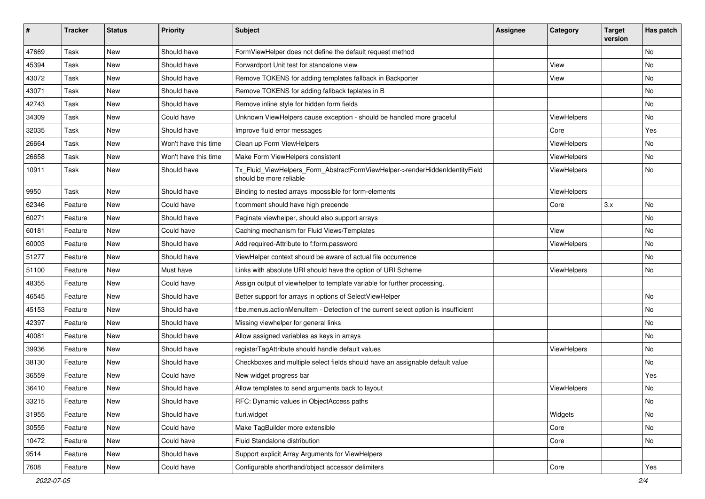| #     | <b>Tracker</b> | <b>Status</b> | <b>Priority</b>      | Subject                                                                                                | <b>Assignee</b> | Category    | <b>Target</b><br>version | Has patch |
|-------|----------------|---------------|----------------------|--------------------------------------------------------------------------------------------------------|-----------------|-------------|--------------------------|-----------|
| 47669 | Task           | <b>New</b>    | Should have          | FormViewHelper does not define the default request method                                              |                 |             |                          | <b>No</b> |
| 45394 | Task           | New           | Should have          | Forwardport Unit test for standalone view                                                              |                 | View        |                          | No        |
| 43072 | Task           | New           | Should have          | Remove TOKENS for adding templates fallback in Backporter                                              |                 | View        |                          | No        |
| 43071 | Task           | <b>New</b>    | Should have          | Remove TOKENS for adding fallback teplates in B                                                        |                 |             |                          | No        |
| 42743 | Task           | New           | Should have          | Remove inline style for hidden form fields                                                             |                 |             |                          | No        |
| 34309 | Task           | <b>New</b>    | Could have           | Unknown ViewHelpers cause exception - should be handled more graceful                                  |                 | ViewHelpers |                          | No        |
| 32035 | Task           | New           | Should have          | Improve fluid error messages                                                                           |                 | Core        |                          | Yes       |
| 26664 | Task           | New           | Won't have this time | Clean up Form ViewHelpers                                                                              |                 | ViewHelpers |                          | No        |
| 26658 | Task           | <b>New</b>    | Won't have this time | Make Form ViewHelpers consistent                                                                       |                 | ViewHelpers |                          | No        |
| 10911 | Task           | New           | Should have          | Tx_Fluid_ViewHelpers_Form_AbstractFormViewHelper->renderHiddenIdentityField<br>should be more reliable |                 | ViewHelpers |                          | No        |
| 9950  | Task           | New           | Should have          | Binding to nested arrays impossible for form-elements                                                  |                 | ViewHelpers |                          |           |
| 62346 | Feature        | <b>New</b>    | Could have           | f:comment should have high precende                                                                    |                 | Core        | 3.x                      | <b>No</b> |
| 60271 | Feature        | <b>New</b>    | Should have          | Paginate viewhelper, should also support arrays                                                        |                 |             |                          | No        |
| 60181 | Feature        | New           | Could have           | Caching mechanism for Fluid Views/Templates                                                            |                 | View        |                          | No        |
| 60003 | Feature        | New           | Should have          | Add required-Attribute to f:form.password                                                              |                 | ViewHelpers |                          | No        |
| 51277 | Feature        | New           | Should have          | ViewHelper context should be aware of actual file occurrence                                           |                 |             |                          | No        |
| 51100 | Feature        | New           | Must have            | Links with absolute URI should have the option of URI Scheme                                           |                 | ViewHelpers |                          | No        |
| 48355 | Feature        | New           | Could have           | Assign output of viewhelper to template variable for further processing.                               |                 |             |                          |           |
| 46545 | Feature        | New           | Should have          | Better support for arrays in options of SelectViewHelper                                               |                 |             |                          | No        |
| 45153 | Feature        | New           | Should have          | f:be.menus.actionMenuItem - Detection of the current select option is insufficient                     |                 |             |                          | No        |
| 42397 | Feature        | New           | Should have          | Missing viewhelper for general links                                                                   |                 |             |                          | <b>No</b> |
| 40081 | Feature        | New           | Should have          | Allow assigned variables as keys in arrays                                                             |                 |             |                          | No        |
| 39936 | Feature        | New           | Should have          | registerTagAttribute should handle default values                                                      |                 | ViewHelpers |                          | <b>No</b> |
| 38130 | Feature        | New           | Should have          | Checkboxes and multiple select fields should have an assignable default value                          |                 |             |                          | No        |
| 36559 | Feature        | New           | Could have           | New widget progress bar                                                                                |                 |             |                          | Yes       |
| 36410 | Feature        | <b>New</b>    | Should have          | Allow templates to send arguments back to layout                                                       |                 | ViewHelpers |                          | No        |
| 33215 | Feature        | New           | Should have          | RFC: Dynamic values in ObjectAccess paths                                                              |                 |             |                          | No        |
| 31955 | Feature        | New           | Should have          | f:uri.widget                                                                                           |                 | Widgets     |                          | No        |
| 30555 | Feature        | New           | Could have           | Make TagBuilder more extensible                                                                        |                 | Core        |                          | No        |
| 10472 | Feature        | New           | Could have           | Fluid Standalone distribution                                                                          |                 | Core        |                          | No        |
| 9514  | Feature        | New           | Should have          | Support explicit Array Arguments for ViewHelpers                                                       |                 |             |                          |           |
| 7608  | Feature        | New           | Could have           | Configurable shorthand/object accessor delimiters                                                      |                 | Core        |                          | Yes       |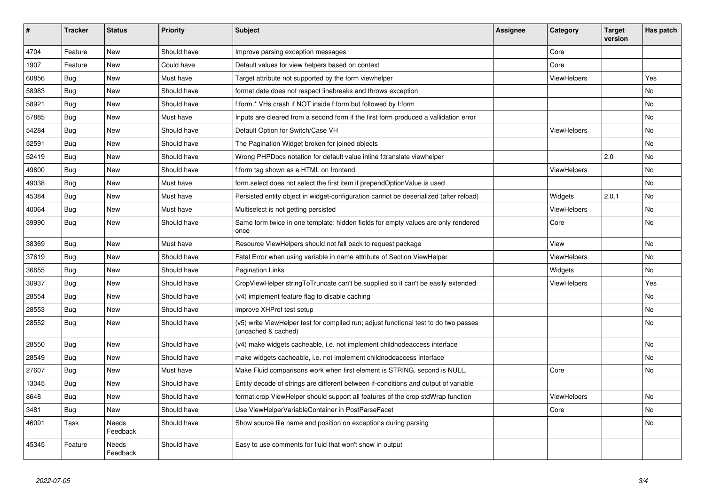| $\vert$ # | <b>Tracker</b> | <b>Status</b>     | <b>Priority</b> | <b>Subject</b>                                                                                              | Assignee | Category           | <b>Target</b><br>version | Has patch |
|-----------|----------------|-------------------|-----------------|-------------------------------------------------------------------------------------------------------------|----------|--------------------|--------------------------|-----------|
| 4704      | Feature        | <b>New</b>        | Should have     | Improve parsing exception messages                                                                          |          | Core               |                          |           |
| 1907      | Feature        | New               | Could have      | Default values for view helpers based on context                                                            |          | Core               |                          |           |
| 60856     | Bug            | New               | Must have       | Target attribute not supported by the form viewhelper                                                       |          | ViewHelpers        |                          | Yes       |
| 58983     | <b>Bug</b>     | New               | Should have     | format.date does not respect linebreaks and throws exception                                                |          |                    |                          | No        |
| 58921     | <b>Bug</b>     | <b>New</b>        | Should have     | f:form.* VHs crash if NOT inside f:form but followed by f:form                                              |          |                    |                          | <b>No</b> |
| 57885     | Bug            | New               | Must have       | Inputs are cleared from a second form if the first form produced a vallidation error                        |          |                    |                          | <b>No</b> |
| 54284     | <b>Bug</b>     | New               | Should have     | Default Option for Switch/Case VH                                                                           |          | ViewHelpers        |                          | No        |
| 52591     | <b>Bug</b>     | New               | Should have     | The Pagination Widget broken for joined objects                                                             |          |                    |                          | No        |
| 52419     | Bug            | New               | Should have     | Wrong PHPDocs notation for default value inline f:translate viewhelper                                      |          |                    | 2.0                      | <b>No</b> |
| 49600     | Bug            | New               | Should have     | f:form tag shown as a HTML on frontend                                                                      |          | <b>ViewHelpers</b> |                          | <b>No</b> |
| 49038     | Bug            | New               | Must have       | form select does not select the first item if prependOptionValue is used                                    |          |                    |                          | No        |
| 45384     | <b>Bug</b>     | New               | Must have       | Persisted entity object in widget-configuration cannot be deserialized (after reload)                       |          | Widgets            | 2.0.1                    | No        |
| 40064     | Bug            | New               | Must have       | Multiselect is not getting persisted                                                                        |          | <b>ViewHelpers</b> |                          | <b>No</b> |
| 39990     | Bug            | New               | Should have     | Same form twice in one template: hidden fields for empty values are only rendered<br>once                   |          | Core               |                          | <b>No</b> |
| 38369     | <b>Bug</b>     | <b>New</b>        | Must have       | Resource ViewHelpers should not fall back to request package                                                |          | View               |                          | <b>No</b> |
| 37619     | Bug            | New               | Should have     | Fatal Error when using variable in name attribute of Section ViewHelper                                     |          | <b>ViewHelpers</b> |                          | <b>No</b> |
| 36655     | Bug            | New               | Should have     | <b>Pagination Links</b>                                                                                     |          | Widgets            |                          | No        |
| 30937     | Bug            | New               | Should have     | CropViewHelper stringToTruncate can't be supplied so it can't be easily extended                            |          | ViewHelpers        |                          | Yes       |
| 28554     | Bug            | <b>New</b>        | Should have     | (v4) implement feature flag to disable caching                                                              |          |                    |                          | <b>No</b> |
| 28553     | Bug            | New               | Should have     | improve XHProf test setup                                                                                   |          |                    |                          | <b>No</b> |
| 28552     | Bug            | New               | Should have     | (v5) write ViewHelper test for compiled run; adjust functional test to do two passes<br>(uncached & cached) |          |                    |                          | No        |
| 28550     | <b>Bug</b>     | New               | Should have     | (v4) make widgets cacheable, i.e. not implement childnodeaccess interface                                   |          |                    |                          | <b>No</b> |
| 28549     | Bug            | <b>New</b>        | Should have     | make widgets cacheable, i.e. not implement childnodeaccess interface                                        |          |                    |                          | <b>No</b> |
| 27607     | <b>Bug</b>     | <b>New</b>        | Must have       | Make Fluid comparisons work when first element is STRING, second is NULL.                                   |          | Core               |                          | No        |
| 13045     | <b>Bug</b>     | New               | Should have     | Entity decode of strings are different between if-conditions and output of variable                         |          |                    |                          |           |
| 8648      | <b>Bug</b>     | New               | Should have     | format.crop ViewHelper should support all features of the crop stdWrap function                             |          | <b>ViewHelpers</b> |                          | <b>No</b> |
| 3481      | Bug            | New               | Should have     | Use ViewHelperVariableContainer in PostParseFacet                                                           |          | Core               |                          | <b>No</b> |
| 46091     | Task           | Needs<br>Feedback | Should have     | Show source file name and position on exceptions during parsing                                             |          |                    |                          | <b>No</b> |
| 45345     | Feature        | Needs<br>Feedback | Should have     | Easy to use comments for fluid that won't show in output                                                    |          |                    |                          |           |